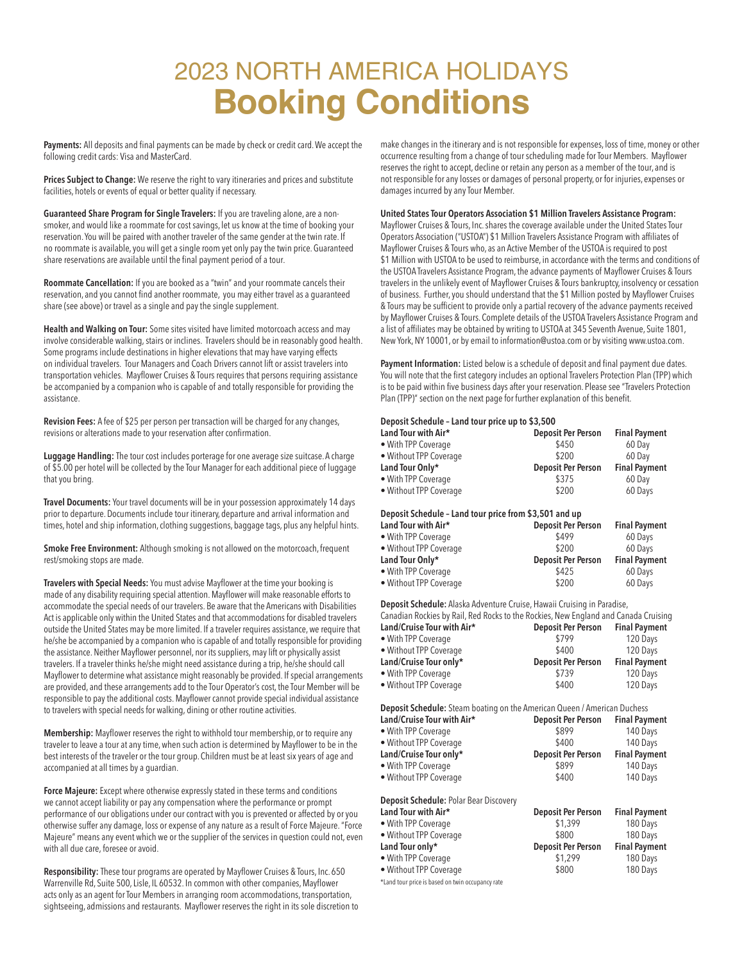# 2023 NORTH AMERICA HOLIDAYS **Booking Conditions**

**Payments:** All deposits and final payments can be made by check or credit card. We accept the following credit cards: Visa and MasterCard.

**Prices Subject to Change:** We reserve the right to vary itineraries and prices and substitute facilities, hotels or events of equal or better quality if necessary.

**Guaranteed Share Program for Single Travelers:** If you are traveling alone, are a nonsmoker, and would like a roommate for cost savings, let us know at the time of booking your reservation. You will be paired with another traveler of the same gender at the twin rate. If no roommate is available, you will get a single room yet only pay the twin price. Guaranteed share reservations are available until the final payment period of a tour.

**Roommate Cancellation:** If you are booked as a "twin" and your roommate cancels their reservation, and you cannot find another roommate, you may either travel as a guaranteed share (see above) or travel as a single and pay the single supplement.

**Health and Walking on Tour:** Some sites visited have limited motorcoach access and may involve considerable walking, stairs or inclines. Travelers should be in reasonably good health. Some programs include destinations in higher elevations that may have varying effects on individual travelers. Tour Managers and Coach Drivers cannot lift or assist travelers into transportation vehicles. Mayflower Cruises & Tours requires that persons requiring assistance be accompanied by a companion who is capable of and totally responsible for providing the assistance.

**Revision Fees:** A fee of \$25 per person per transaction will be charged for any changes, revisions or alterations made to your reservation after confirmation.

**Luggage Handling:** The tour cost includes porterage for one average size suitcase. A charge of \$5.00 per hotel will be collected by the Tour Manager for each additional piece of luggage that you bring.

**Travel Documents:** Your travel documents will be in your possession approximately 14 days prior to departure. Documents include tour itinerary, departure and arrival information and times, hotel and ship information, clothing suggestions, baggage tags, plus any helpful hints.

**Smoke Free Environment:** Although smoking is not allowed on the motorcoach, frequent rest/smoking stops are made.

**Travelers with Special Needs:** You must advise Mayflower at the time your booking is made of any disability requiring special attention. Mayflower will make reasonable efforts to accommodate the special needs of our travelers. Be aware that the Americans with Disabilities Act is applicable only within the United States and that accommodations for disabled travelers outside the United States may be more limited. If a traveler requires assistance, we require that he/she be accompanied by a companion who is capable of and totally responsible for providing the assistance. Neither Mayflower personnel, nor its suppliers, may lift or physically assist travelers. If a traveler thinks he/she might need assistance during a trip, he/she should call Mayflower to determine what assistance might reasonably be provided. If special arrangements are provided, and these arrangements add to the Tour Operator's cost, the Tour Member will be responsible to pay the additional costs. Mayflower cannot provide special individual assistance to travelers with special needs for walking, dining or other routine activities.

**Membership:** Mayflower reserves the right to withhold tour membership, or to require any traveler to leave a tour at any time, when such action is determined by Mayflower to be in the best interests of the traveler or the tour group. Children must be at least six years of age and accompanied at all times by a guardian.

**Force Majeure:** Except where otherwise expressly stated in these terms and conditions we cannot accept liability or pay any compensation where the performance or prompt performance of our obligations under our contract with you is prevented or affected by or you otherwise suffer any damage, loss or expense of any nature as a result of Force Majeure. "Force Majeure" means any event which we or the supplier of the services in question could not, even with all due care, foresee or avoid.

**Responsibility:** These tour programs are operated by Mayflower Cruises & Tours, Inc. 650 Warrenville Rd, Suite 500, Lisle, IL 60532. In common with other companies, Mayflower acts only as an agent for Tour Members in arranging room accommodations, transportation, sightseeing, admissions and restaurants. Mayflower reserves the right in its sole discretion to make changes in the itinerary and is not responsible for expenses, loss of time, money or other occurrence resulting from a change of tour scheduling made for Tour Members. Mayflower reserves the right to accept, decline or retain any person as a member of the tour, and is not responsible for any losses or damages of personal property, or for injuries, expenses or damages incurred by any Tour Member.

# **United States Tour Operators Association \$1 Million Travelers Assistance Program:**

Mayflower Cruises & Tours, Inc. shares the coverage available under the United States Tour Operators Association ("USTOA") \$1 Million Travelers Assistance Program with affiliates of Mayflower Cruises & Tours who, as an Active Member of the USTOA is required to post \$1 Million with USTOA to be used to reimburse, in accordance with the terms and conditions of the USTOA Travelers Assistance Program, the advance payments of Mayflower Cruises & Tours travelers in the unlikely event of Mayflower Cruises & Tours bankruptcy, insolvency or cessation of business. Further, you should understand that the \$1 Million posted by Mayflower Cruises & Tours may be sufficient to provide only a partial recovery of the advance payments received by Mayflower Cruises & Tours. Complete details of the USTOA Travelers Assistance Program and a list of affiliates may be obtained by writing to USTOA at 345 Seventh Avenue, Suite 1801, New York, NY 10001, or by email to information@ustoa.com or by visiting www.ustoa.com.

**Payment Information:** Listed below is a schedule of deposit and final payment due dates. You will note that the first category includes an optional Travelers Protection Plan (TPP) which is to be paid within five business days after your reservation. Please see "Travelers Protection Plan (TPP)" section on the next page for further explanation of this benefit.

# **Deposit Schedule – Land tour price up to \$3,500**

| Land Tour with Air*    | <b>Deposit Per Person</b> | <b>Final Payment</b> |
|------------------------|---------------------------|----------------------|
| • With TPP Coverage    | \$450                     | 60 Day               |
| • Without TPP Coverage | \$200                     | 60 Dav               |
| Land Tour Only*        | <b>Deposit Per Person</b> | <b>Final Payment</b> |
|                        |                           |                      |
| • With TPP Coverage    | \$375                     | 60 Day               |

#### **Deposit Schedule – Land tour price from \$3,501 and up**

| <b>Deposit Per Person</b> | <b>Final Payment</b> |
|---------------------------|----------------------|
| \$499                     | 60 Days              |
| \$200                     | 60 Days              |
| <b>Deposit Per Person</b> | <b>Final Payment</b> |
| \$425                     | 60 Days              |
| \$200                     | 60 Days              |
|                           |                      |

**Deposit Schedule:** Alaska Adventure Cruise, Hawaii Cruising in Paradise,

| $-$ , and $-$ , and $-$ , and $-$ , and $-$ , and $-$ , and $-$ , and $-$ , and $-$ , and $-$ , and $-$ , and $-$ , and $-$ , and $-$ , and $-$ , and $-$ , and $-$ , and $-$ , and $-$ , and $-$ , and $-$ , and $-$ , and |                           |                      |  |
|-----------------------------------------------------------------------------------------------------------------------------------------------------------------------------------------------------------------------------|---------------------------|----------------------|--|
| Canadian Rockies by Rail, Red Rocks to the Rockies, New England and Canada Cruising                                                                                                                                         |                           |                      |  |
| Land/Cruise Tour with Air*                                                                                                                                                                                                  | <b>Deposit Per Person</b> | <b>Final Payment</b> |  |
| • With TPP Coverage                                                                                                                                                                                                         | \$799                     | 120 Days             |  |
| • Without TPP Coverage                                                                                                                                                                                                      | \$400                     | 120 Days             |  |
| Land/Cruise Tour only*                                                                                                                                                                                                      | <b>Deposit Per Person</b> | <b>Final Payment</b> |  |
| • With TPP Coverage                                                                                                                                                                                                         | \$739                     | 120 Days             |  |
| • Without TPP Coverage                                                                                                                                                                                                      | \$400                     | 120 Days             |  |

**Deposit Schedule:** Steam boating on the American Queen / American Duchess

| Land/Cruise Tour with Air* | <b>Deposit Per Person</b> | <b>Final Payment</b> |
|----------------------------|---------------------------|----------------------|
| • With TPP Coverage        | \$899                     | 140 Days             |
| • Without TPP Coverage     | \$400                     | 140 Davs             |
| Land/Cruise Tour only*     | <b>Deposit Per Person</b> | <b>Final Payment</b> |
| • With TPP Coverage        | \$899                     | 140 Days             |
| • Without TPP Coverage     | \$400                     | 140 Days             |
|                            |                           |                      |

**Deposit Schedule:** Polar Bear Discovery

| Land Tour with Air*    | <b>Deposit Per Person</b> | <b>Final Payment</b> |
|------------------------|---------------------------|----------------------|
| • With TPP Coverage    | \$1,399                   | 180 Days             |
| • Without TPP Coverage | \$800                     | 180 Days             |
| Land Tour only*        | <b>Deposit Per Person</b> | <b>Final Payment</b> |
| · With TPP Coverage    | \$1,299                   | 180 Days             |
| . Without TPP Coverage | \$800                     | 180 Days             |
|                        |                           |                      |

\*Land tour price is based on twin occupancy rate